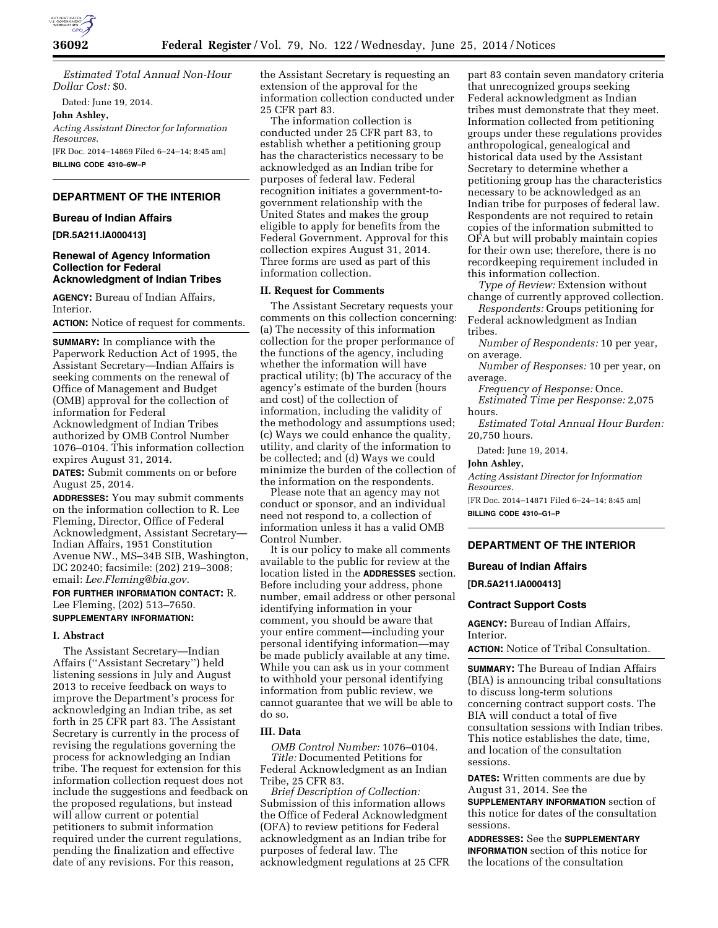

*Estimated Total Annual Non-Hour Dollar Cost:* \$0.

Dated: June 19, 2014.

**John Ashley,** 

*Acting Assistant Director for Information Resources.*  [FR Doc. 2014–14869 Filed 6–24–14; 8:45 am]

**BILLING CODE 4310–6W–P** 

# **DEPARTMENT OF THE INTERIOR**

## **Bureau of Indian Affairs**

**[DR.5A211.IA000413]** 

# **Renewal of Agency Information Collection for Federal Acknowledgment of Indian Tribes**

**AGENCY:** Bureau of Indian Affairs, Interior.

**ACTION:** Notice of request for comments.

**SUMMARY:** In compliance with the Paperwork Reduction Act of 1995, the Assistant Secretary—Indian Affairs is seeking comments on the renewal of Office of Management and Budget (OMB) approval for the collection of information for Federal Acknowledgment of Indian Tribes authorized by OMB Control Number 1076–0104. This information collection expires August 31, 2014.

**DATES:** Submit comments on or before August 25, 2014.

**ADDRESSES:** You may submit comments on the information collection to R. Lee Fleming, Director, Office of Federal Acknowledgment, Assistant Secretary— Indian Affairs, 1951 Constitution Avenue NW., MS–34B SIB, Washington, DC 20240; facsimile: (202) 219–3008; email: *[Lee.Fleming@bia.gov](mailto:Lee.Fleming@bia.gov)*.

**FOR FURTHER INFORMATION CONTACT:** R. Lee Fleming, (202) 513–7650.

# **SUPPLEMENTARY INFORMATION:**

# **I. Abstract**

The Assistant Secretary—Indian Affairs (''Assistant Secretary'') held listening sessions in July and August 2013 to receive feedback on ways to improve the Department's process for acknowledging an Indian tribe, as set forth in 25 CFR part 83. The Assistant Secretary is currently in the process of revising the regulations governing the process for acknowledging an Indian tribe. The request for extension for this information collection request does not include the suggestions and feedback on the proposed regulations, but instead will allow current or potential petitioners to submit information required under the current regulations, pending the finalization and effective date of any revisions. For this reason,

the Assistant Secretary is requesting an extension of the approval for the information collection conducted under 25 CFR part 83.

The information collection is conducted under 25 CFR part 83, to establish whether a petitioning group has the characteristics necessary to be acknowledged as an Indian tribe for purposes of federal law. Federal recognition initiates a government-togovernment relationship with the United States and makes the group eligible to apply for benefits from the Federal Government. Approval for this collection expires August 31, 2014. Three forms are used as part of this information collection.

## **II. Request for Comments**

The Assistant Secretary requests your comments on this collection concerning: (a) The necessity of this information collection for the proper performance of the functions of the agency, including whether the information will have practical utility; (b) The accuracy of the agency's estimate of the burden (hours and cost) of the collection of information, including the validity of the methodology and assumptions used; (c) Ways we could enhance the quality, utility, and clarity of the information to be collected; and (d) Ways we could minimize the burden of the collection of the information on the respondents.

Please note that an agency may not conduct or sponsor, and an individual need not respond to, a collection of information unless it has a valid OMB Control Number.

It is our policy to make all comments available to the public for review at the location listed in the **ADDRESSES** section. Before including your address, phone number, email address or other personal identifying information in your comment, you should be aware that your entire comment—including your personal identifying information—may be made publicly available at any time. While you can ask us in your comment to withhold your personal identifying information from public review, we cannot guarantee that we will be able to do so.

## **III. Data**

*OMB Control Number:* 1076–0104.

*Title:* Documented Petitions for Federal Acknowledgment as an Indian Tribe, 25 CFR 83.

*Brief Description of Collection:*  Submission of this information allows the Office of Federal Acknowledgment (OFA) to review petitions for Federal acknowledgment as an Indian tribe for purposes of federal law. The acknowledgment regulations at 25 CFR

part 83 contain seven mandatory criteria that unrecognized groups seeking Federal acknowledgment as Indian tribes must demonstrate that they meet. Information collected from petitioning groups under these regulations provides anthropological, genealogical and historical data used by the Assistant Secretary to determine whether a petitioning group has the characteristics necessary to be acknowledged as an Indian tribe for purposes of federal law. Respondents are not required to retain copies of the information submitted to OFA but will probably maintain copies for their own use; therefore, there is no recordkeeping requirement included in this information collection.

*Type of Review:* Extension without change of currently approved collection.

*Respondents:* Groups petitioning for Federal acknowledgment as Indian tribes.

*Number of Respondents:* 10 per year, on average.

*Number of Responses:* 10 per year, on average.

*Frequency of Response:* Once. *Estimated Time per Response:* 2,075

hours.

*Estimated Total Annual Hour Burden:*  20,750 hours.

Dated: June 19, 2014.

# **John Ashley,**

*Acting Assistant Director for Information Resources.* 

[FR Doc. 2014–14871 Filed 6–24–14; 8:45 am] **BILLING CODE 4310–G1–P** 

# **DEPARTMENT OF THE INTERIOR**

# **Bureau of Indian Affairs**

**[DR.5A211.IA000413]** 

### **Contract Support Costs**

**AGENCY:** Bureau of Indian Affairs, Interior.

**ACTION:** Notice of Tribal Consultation.

**SUMMARY:** The Bureau of Indian Affairs (BIA) is announcing tribal consultations to discuss long-term solutions concerning contract support costs. The BIA will conduct a total of five consultation sessions with Indian tribes. This notice establishes the date, time, and location of the consultation sessions.

**DATES:** Written comments are due by August 31, 2014. See the **SUPPLEMENTARY INFORMATION** section of

this notice for dates of the consultation sessions.

**ADDRESSES:** See the **SUPPLEMENTARY INFORMATION** section of this notice for the locations of the consultation